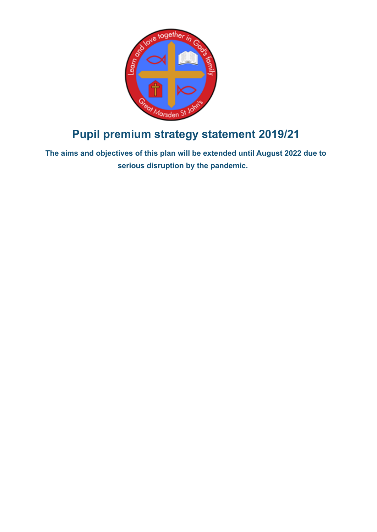

# **Pupil premium strategy statement 2019/21**

**The aims and objectives of this plan will be extended until August 2022 due to serious disruption by the pandemic.**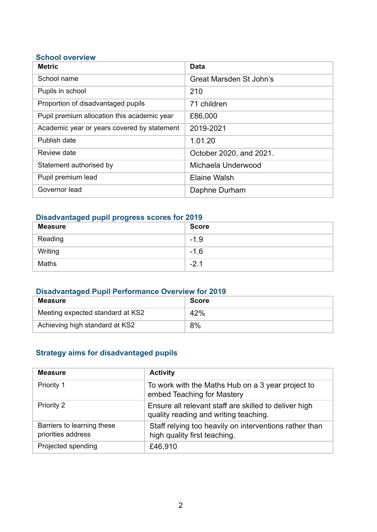#### **School overview**

| <b>Metric</b>                               | Data                    |
|---------------------------------------------|-------------------------|
| School name                                 | Great Marsden St John's |
| Pupils in school                            | 210                     |
| Proportion of disadvantaged pupils          | 71 children             |
| Pupil premium allocation this academic year | £86,000                 |
| Academic year or years covered by statement | 2019-2021               |
| Publish date                                | 1.01.20                 |
| Review date                                 | October 2020, and 2021. |
| Statement authorised by                     | Michaela Underwood      |
| Pupil premium lead                          | <b>Elaine Walsh</b>     |
| Governor lead                               | Daphne Durham           |

### **Disadvantaged pupil progress scores for 2019**

| <b>Measure</b> | <b>Score</b> |
|----------------|--------------|
| Reading        | $-1.9$       |
| Writing        | $-1.6$       |
| <b>Maths</b>   | $-2.1$       |

# **Disadvantaged Pupil Performance Overview for 2019**

| Measure                          | <b>Score</b> |
|----------------------------------|--------------|
| Meeting expected standard at KS2 | 42%          |
| Achieving high standard at KS2   | 8%           |

## **Strategy aims for disadvantaged pupils**

| <b>Measure</b>                                   | <b>Activity</b>                                                                                |
|--------------------------------------------------|------------------------------------------------------------------------------------------------|
| Priority 1                                       | To work with the Maths Hub on a 3 year project to<br>embed Teaching for Mastery                |
| <b>Priority 2</b>                                | Ensure all relevant staff are skilled to deliver high<br>quality reading and writing teaching. |
| Barriers to learning these<br>priorities address | Staff relying too heavily on interventions rather than<br>high quality first teaching.         |
| Projected spending                               | £46,910                                                                                        |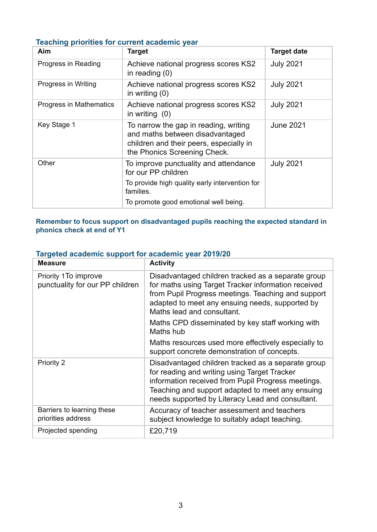#### **Teaching priorities for current academic year**

| Aim                     | <b>Target</b>                                                                                                                                       | <b>Target date</b> |
|-------------------------|-----------------------------------------------------------------------------------------------------------------------------------------------------|--------------------|
| Progress in Reading     | Achieve national progress scores KS2<br>in reading $(0)$                                                                                            | <b>July 2021</b>   |
| Progress in Writing     | Achieve national progress scores KS2<br>in writing $(0)$                                                                                            | <b>July 2021</b>   |
| Progress in Mathematics | Achieve national progress scores KS2<br>in writing $(0)$                                                                                            | <b>July 2021</b>   |
| Key Stage 1             | To narrow the gap in reading, writing<br>and maths between disadvantaged<br>children and their peers, especially in<br>the Phonics Screening Check. | <b>June 2021</b>   |
| Other                   | To improve punctuality and attendance<br>for our PP children                                                                                        | <b>July 2021</b>   |
|                         | To provide high quality early intervention for<br>families.                                                                                         |                    |
|                         | To promote good emotional well being.                                                                                                               |                    |

#### **Remember to focus support on disadvantaged pupils reaching the expected standard in phonics check at end of Y1**

### **Targeted academic support for academic year 2019/20**

| <b>Measure</b>                                           | <b>Activity</b>                                                                                                                                                                                                                                                  |
|----------------------------------------------------------|------------------------------------------------------------------------------------------------------------------------------------------------------------------------------------------------------------------------------------------------------------------|
| Priority 1 To improve<br>punctuality for our PP children | Disadvantaged children tracked as a separate group<br>for maths using Target Tracker information received<br>from Pupil Progress meetings. Teaching and support<br>adapted to meet any ensuing needs, supported by<br>Maths lead and consultant.                 |
|                                                          | Maths CPD disseminated by key staff working with<br>Maths hub                                                                                                                                                                                                    |
|                                                          | Maths resources used more effectively especially to<br>support concrete demonstration of concepts.                                                                                                                                                               |
| Priority 2                                               | Disadvantaged children tracked as a separate group<br>for reading and writing using Target Tracker<br>information received from Pupil Progress meetings.<br>Teaching and support adapted to meet any ensuing<br>needs supported by Literacy Lead and consultant. |
| Barriers to learning these<br>priorities address         | Accuracy of teacher assessment and teachers<br>subject knowledge to suitably adapt teaching.                                                                                                                                                                     |
| Projected spending                                       | £20,719                                                                                                                                                                                                                                                          |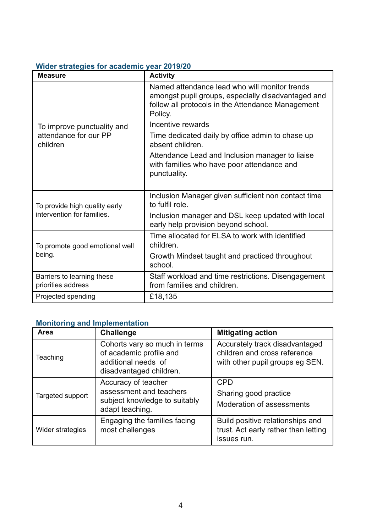#### **Wider strategies for academic year 2019/20**

| <b>Measure</b>                                              | <b>Activity</b>                                                                                                                                                     |
|-------------------------------------------------------------|---------------------------------------------------------------------------------------------------------------------------------------------------------------------|
|                                                             | Named attendance lead who will monitor trends<br>amongst pupil groups, especially disadvantaged and<br>follow all protocols in the Attendance Management<br>Policy. |
| To improve punctuality and                                  | Incentive rewards                                                                                                                                                   |
| attendance for our PP<br>children                           | Time dedicated daily by office admin to chase up<br>absent children.                                                                                                |
|                                                             | Attendance Lead and Inclusion manager to liaise<br>with families who have poor attendance and<br>punctuality.                                                       |
| To provide high quality early<br>intervention for families. | Inclusion Manager given sufficient non contact time<br>to fulfil role.                                                                                              |
|                                                             | Inclusion manager and DSL keep updated with local<br>early help provision beyond school.                                                                            |
| To promote good emotional well<br>being.                    | Time allocated for ELSA to work with identified<br>children.                                                                                                        |
|                                                             | Growth Mindset taught and practiced throughout<br>school.                                                                                                           |
| Barriers to learning these<br>priorities address            | Staff workload and time restrictions. Disengagement<br>from families and children.                                                                                  |
| Projected spending                                          | £18,135                                                                                                                                                             |

# **Monitoring and Implementation**

| Area             | <b>Challenge</b>                                                                                           | <b>Mitigating action</b>                                                                          |
|------------------|------------------------------------------------------------------------------------------------------------|---------------------------------------------------------------------------------------------------|
| Teaching         | Cohorts vary so much in terms<br>of academic profile and<br>additional needs of<br>disadvantaged children. | Accurately track disadvantaged<br>children and cross reference<br>with other pupil groups eg SEN. |
| Targeted support | Accuracy of teacher<br>assessment and teachers<br>subject knowledge to suitably<br>adapt teaching.         | <b>CPD</b><br>Sharing good practice<br>Moderation of assessments                                  |
| Wider strategies | Engaging the families facing<br>most challenges                                                            | Build positive relationships and<br>trust. Act early rather than letting<br>issues run.           |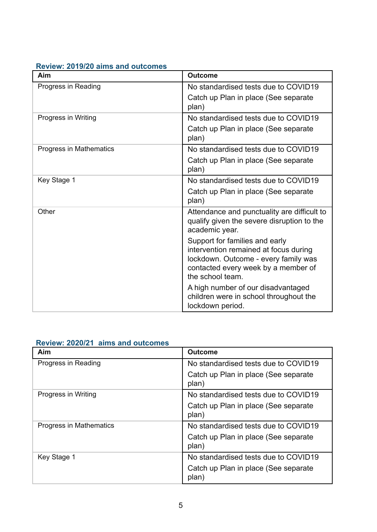| Aim                     | <b>Outcome</b>                                                                                                                                                             |
|-------------------------|----------------------------------------------------------------------------------------------------------------------------------------------------------------------------|
| Progress in Reading     | No standardised tests due to COVID19                                                                                                                                       |
|                         | Catch up Plan in place (See separate<br>plan)                                                                                                                              |
| Progress in Writing     | No standardised tests due to COVID19                                                                                                                                       |
|                         | Catch up Plan in place (See separate<br>plan)                                                                                                                              |
| Progress in Mathematics | No standardised tests due to COVID19                                                                                                                                       |
|                         | Catch up Plan in place (See separate<br>plan)                                                                                                                              |
| Key Stage 1             | No standardised tests due to COVID19                                                                                                                                       |
|                         | Catch up Plan in place (See separate<br>plan)                                                                                                                              |
| Other                   | Attendance and punctuality are difficult to<br>qualify given the severe disruption to the<br>academic year.                                                                |
|                         | Support for families and early<br>intervention remained at focus during<br>lockdown. Outcome - every family was<br>contacted every week by a member of<br>the school team. |
|                         | A high number of our disadvantaged<br>children were in school throughout the<br>lockdown period.                                                                           |

#### **Review: 2019/20 aims and outcomes**

|                           | Review: 2020/21 aims and outcomes |
|---------------------------|-----------------------------------|
| $\mathbf{A}$ $\mathbf{A}$ |                                   |

| Aim                     | <b>Outcome</b>                                |
|-------------------------|-----------------------------------------------|
| Progress in Reading     | No standardised tests due to COVID19          |
|                         | Catch up Plan in place (See separate<br>plan) |
| Progress in Writing     | No standardised tests due to COVID19          |
|                         | Catch up Plan in place (See separate<br>plan) |
| Progress in Mathematics | No standardised tests due to COVID19          |
|                         | Catch up Plan in place (See separate<br>plan) |
| Key Stage 1             | No standardised tests due to COVID19          |
|                         | Catch up Plan in place (See separate<br>plan) |